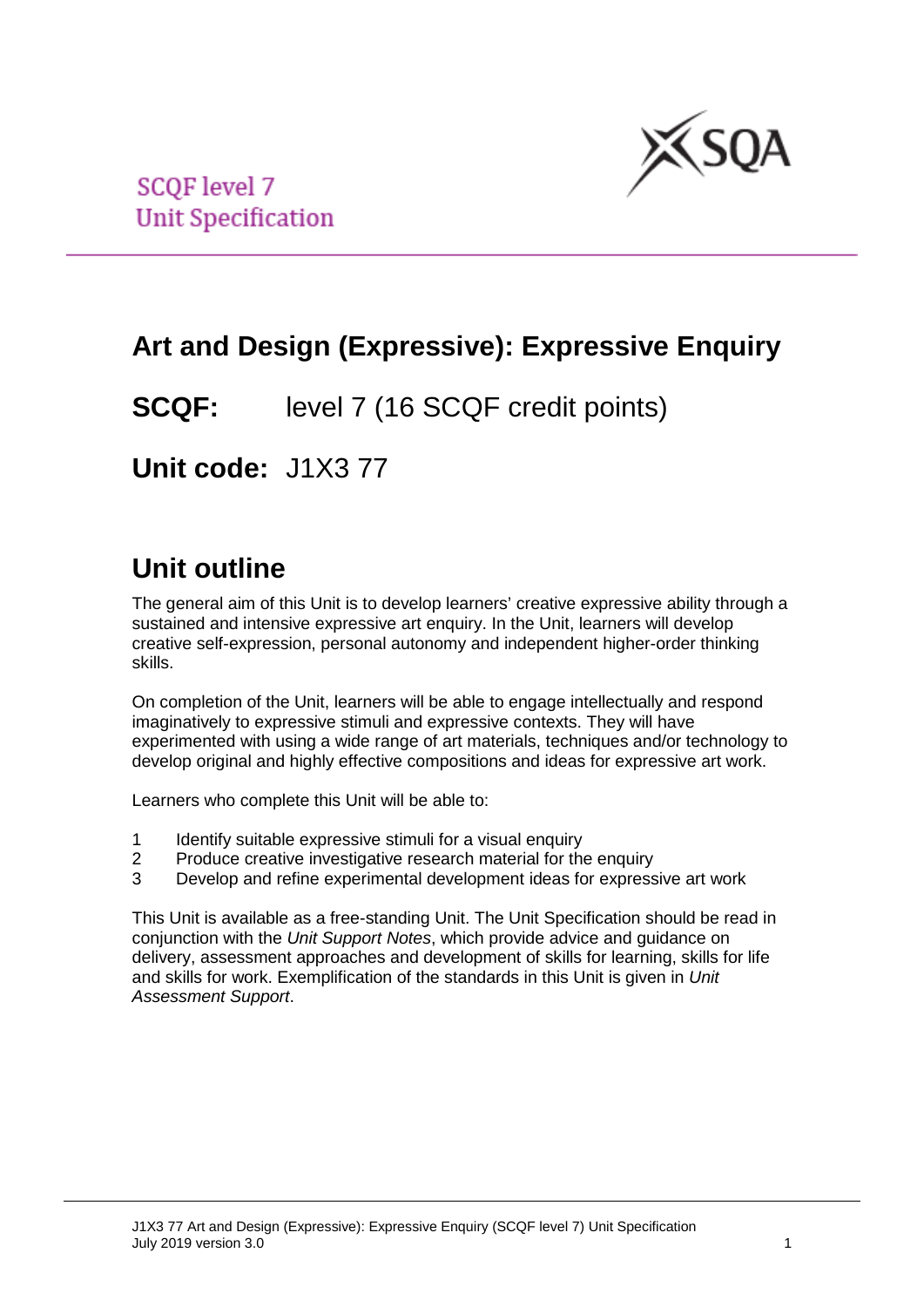

**SCOF level 7 Unit Specification** 

## **Art and Design (Expressive): Expressive Enquiry**

**SCQF:** level 7 (16 SCQF credit points)

**Unit code:** J1X3 77

# **Unit outline**

The general aim of this Unit is to develop learners' creative expressive ability through a sustained and intensive expressive art enquiry. In the Unit, learners will develop creative self-expression, personal autonomy and independent higher-order thinking skills.

On completion of the Unit, learners will be able to engage intellectually and respond imaginatively to expressive stimuli and expressive contexts. They will have experimented with using a wide range of art materials, techniques and/or technology to develop original and highly effective compositions and ideas for expressive art work.

Learners who complete this Unit will be able to:

- 1 Identify suitable expressive stimuli for a visual enquiry<br>2 Produce creative investigative research material for the
- Produce creative investigative research material for the enquiry
- 3 Develop and refine experimental development ideas for expressive art work

This Unit is available as a free-standing Unit. The Unit Specification should be read in conjunction with the *Unit Support Notes*, which provide advice and guidance on delivery, assessment approaches and development of skills for learning, skills for life and skills for work. Exemplification of the standards in this Unit is given in *Unit Assessment Support*.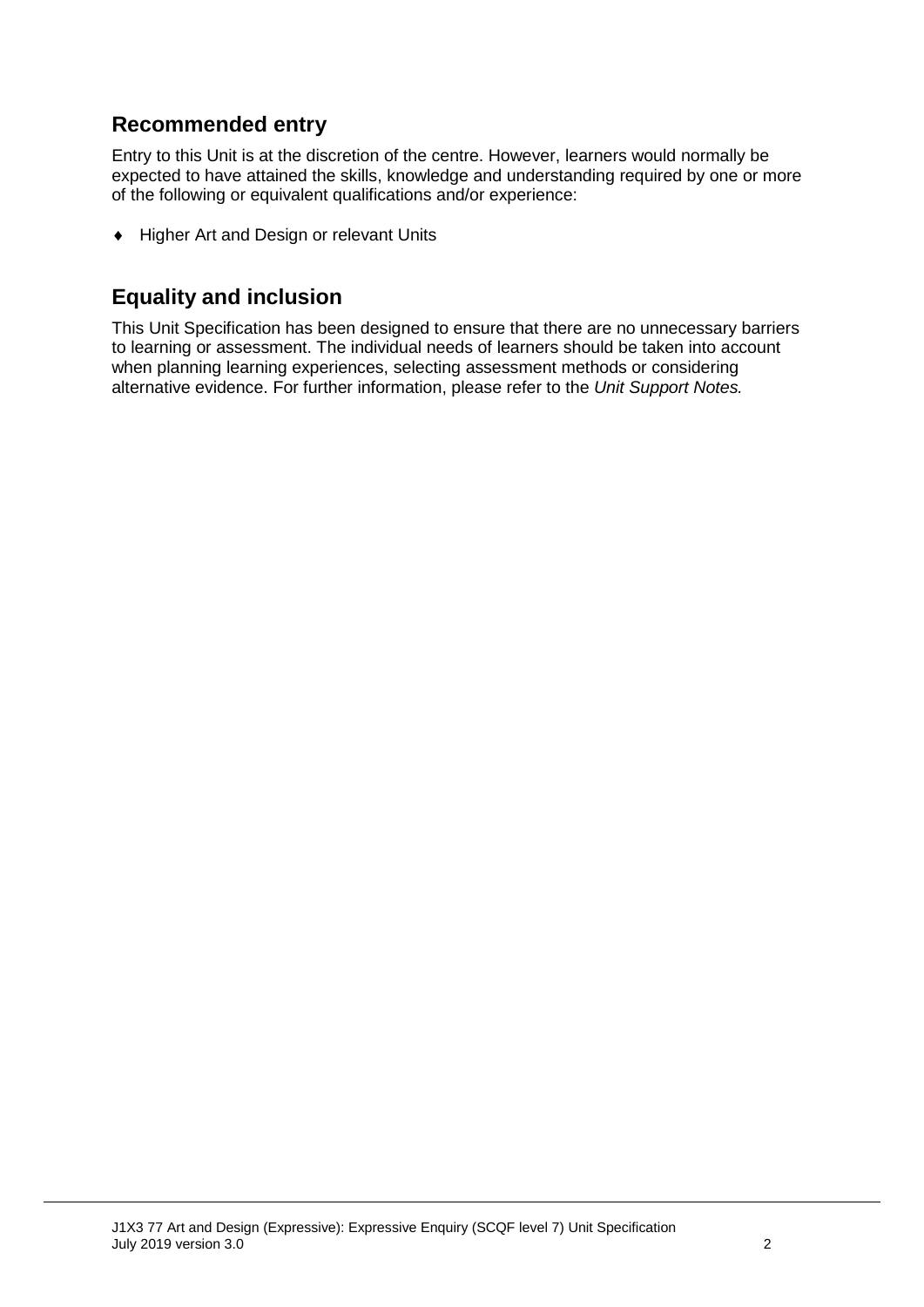### **Recommended entry**

Entry to this Unit is at the discretion of the centre. However, learners would normally be expected to have attained the skills, knowledge and understanding required by one or more of the following or equivalent qualifications and/or experience:

♦ Higher Art and Design or relevant Units

### **Equality and inclusion**

This Unit Specification has been designed to ensure that there are no unnecessary barriers to learning or assessment. The individual needs of learners should be taken into account when planning learning experiences, selecting assessment methods or considering alternative evidence. For further information, please refer to the *Unit Support Notes.*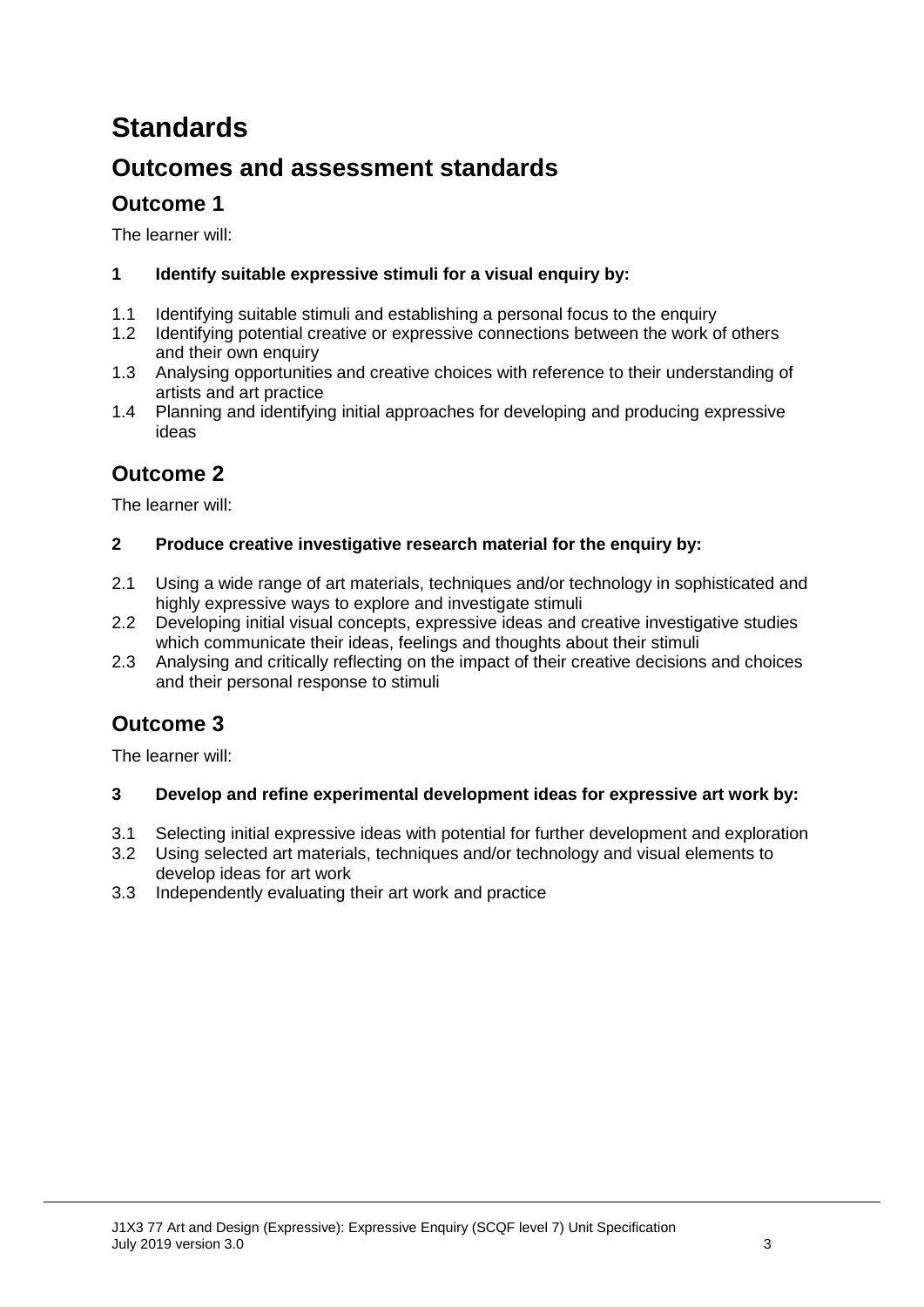# **Standards**

## **Outcomes and assessment standards**

## **Outcome 1**

The learner will:

#### **1 Identify suitable expressive stimuli for a visual enquiry by:**

- 1.1 Identifying suitable stimuli and establishing a personal focus to the enquiry<br>1.2 Identifying potential creative or expressive connections between the work of
- Identifying potential creative or expressive connections between the work of others and their own enquiry
- 1.3 Analysing opportunities and creative choices with reference to their understanding of artists and art practice
- 1.4 Planning and identifying initial approaches for developing and producing expressive ideas

## **Outcome 2**

The learner will:

#### **2 Produce creative investigative research material for the enquiry by:**

- 2.1 Using a wide range of art materials, techniques and/or technology in sophisticated and highly expressive ways to explore and investigate stimuli
- 2.2 Developing initial visual concepts, expressive ideas and creative investigative studies which communicate their ideas, feelings and thoughts about their stimuli
- 2.3 Analysing and critically reflecting on the impact of their creative decisions and choices and their personal response to stimuli

## **Outcome 3**

The learner will:

#### **3 Develop and refine experimental development ideas for expressive art work by:**

- 3.1 Selecting initial expressive ideas with potential for further development and exploration
- 3.2 Using selected art materials, techniques and/or technology and visual elements to develop ideas for art work
- 3.3 Independently evaluating their art work and practice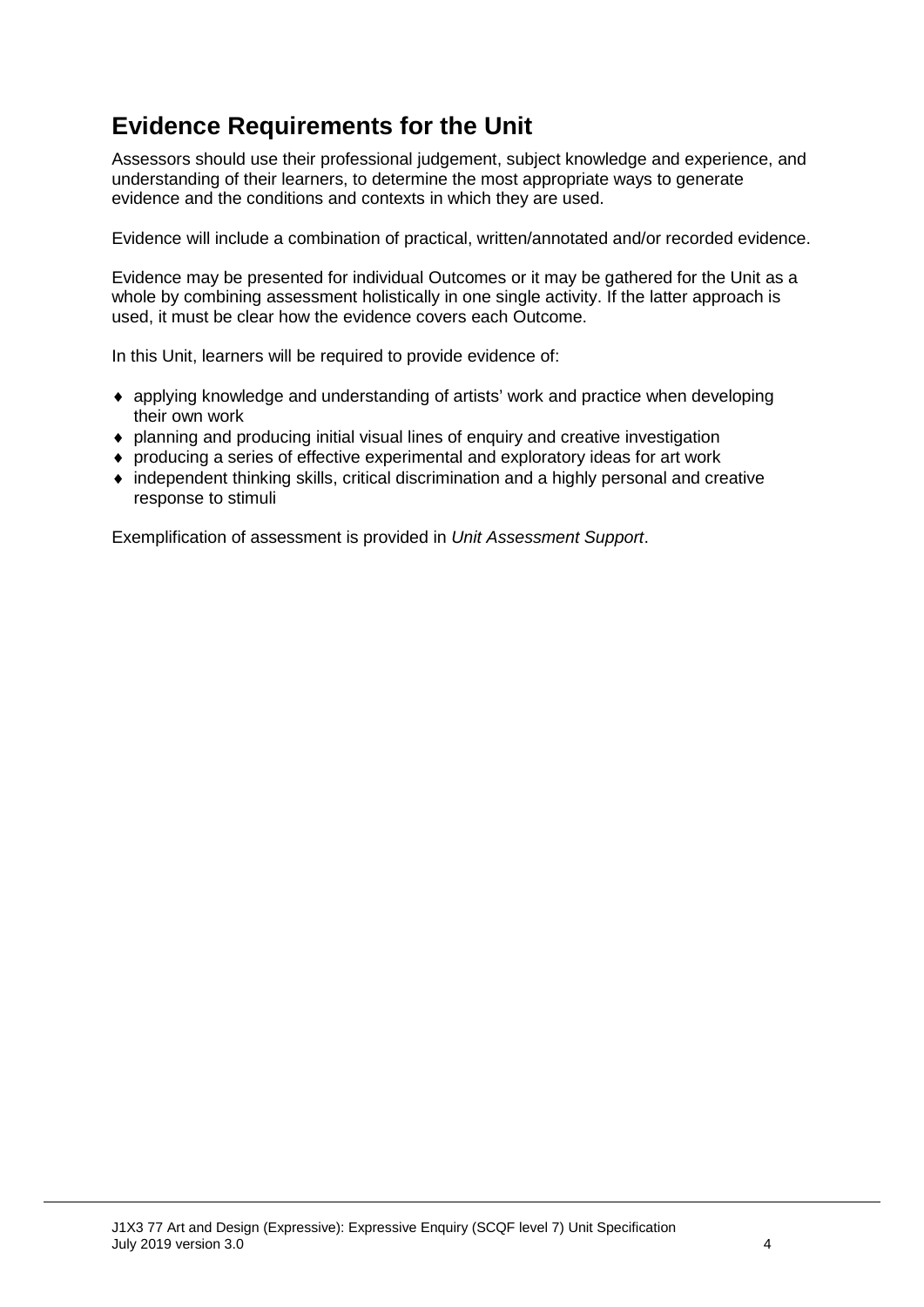## **Evidence Requirements for the Unit**

Assessors should use their professional judgement, subject knowledge and experience, and understanding of their learners, to determine the most appropriate ways to generate evidence and the conditions and contexts in which they are used.

Evidence will include a combination of practical, written/annotated and/or recorded evidence.

Evidence may be presented for individual Outcomes or it may be gathered for the Unit as a whole by combining assessment holistically in one single activity. If the latter approach is used, it must be clear how the evidence covers each Outcome.

In this Unit, learners will be required to provide evidence of:

- ♦ applying knowledge and understanding of artists' work and practice when developing their own work
- ♦ planning and producing initial visual lines of enquiry and creative investigation
- ♦ producing a series of effective experimental and exploratory ideas for art work
- ♦ independent thinking skills, critical discrimination and a highly personal and creative response to stimuli

Exemplification of assessment is provided in *Unit Assessment Support*.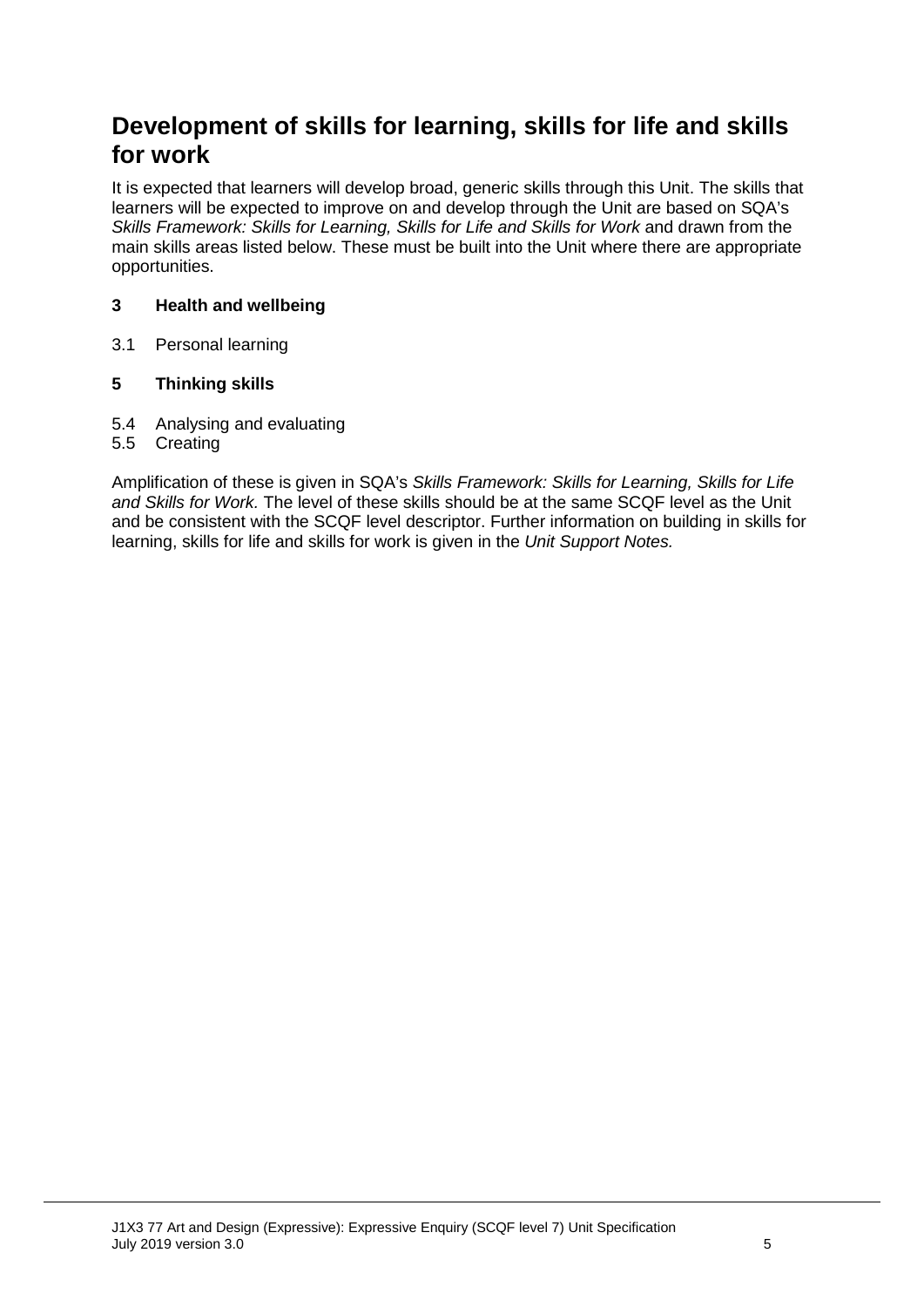## **Development of skills for learning, skills for life and skills for work**

It is expected that learners will develop broad, generic skills through this Unit. The skills that learners will be expected to improve on and develop through the Unit are based on SQA's *Skills Framework: Skills for Learning, Skills for Life and Skills for Work and drawn from the* main skills areas listed below. These must be built into the Unit where there are appropriate opportunities.

#### **3 Health and wellbeing**

3.1 Personal learning

#### **5 Thinking skills**

- 5.4 Analysing and evaluating
- 5.5 Creating

Amplification of these is given in SQA's *Skills Framework: Skills for Learning, Skills for Life and Skills for Work.* The level of these skills should be at the same SCQF level as the Unit and be consistent with the SCQF level descriptor. Further information on building in skills for learning, skills for life and skills for work is given in the *Unit Support Notes.*